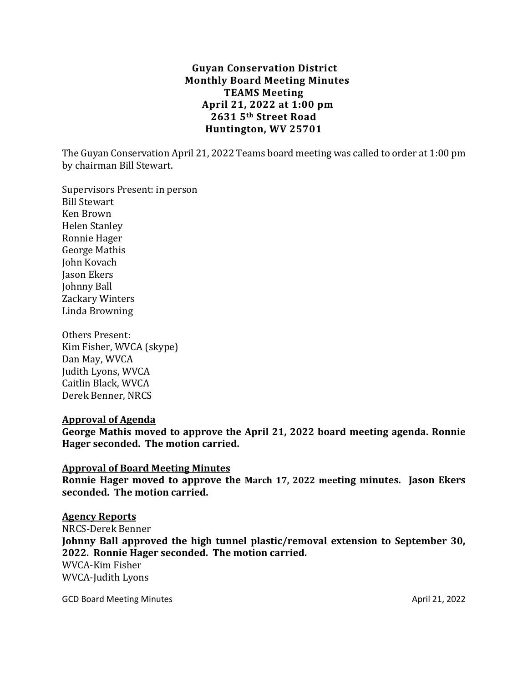# **Guyan Conservation District Monthly Board Meeting Minutes TEAMS Meeting April 21, 2022 at 1:00 pm 2631 5th Street Road Huntington, WV 25701**

The Guyan Conservation April 21, 2022 Teams board meeting was called to order at 1:00 pm by chairman Bill Stewart.

Supervisors Present: in person Bill Stewart Ken Brown Helen Stanley Ronnie Hager George Mathis John Kovach Jason Ekers Johnny Ball Zackary Winters Linda Browning

Others Present: Kim Fisher, WVCA (skype) Dan May, WVCA Judith Lyons, WVCA Caitlin Black, WVCA Derek Benner, NRCS

### **Approval of Agenda**

**George Mathis moved to approve the April 21, 2022 board meeting agenda. Ronnie Hager seconded. The motion carried.**

### **Approval of Board Meeting Minutes**

**Ronnie Hager moved to approve the March 17, 2022 meeting minutes. Jason Ekers seconded. The motion carried.**

### **Agency Reports**

NRCS-Derek Benner **Johnny Ball approved the high tunnel plastic/removal extension to September 30, 2022. Ronnie Hager seconded. The motion carried.** WVCA-Kim Fisher WVCA-Judith Lyons

GCD Board Meeting Minutes **April 21, 2022**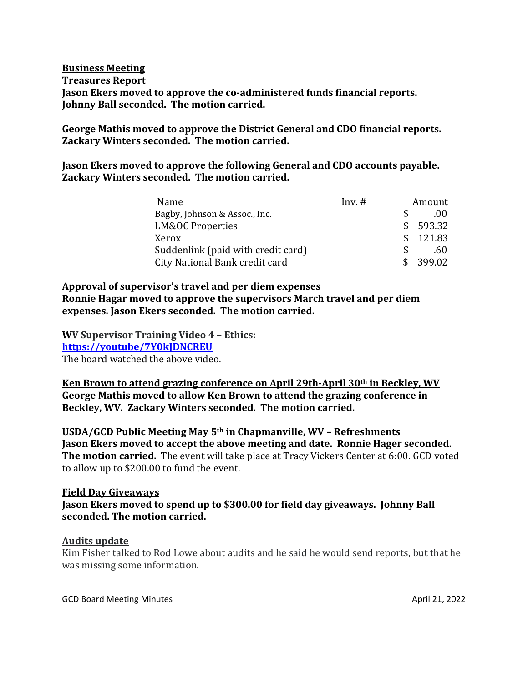## **Business Meeting Treasures Report Jason Ekers moved to approve the co-administered funds financial reports. Johnny Ball seconded. The motion carried.**

**George Mathis moved to approve the District General and CDO financial reports. Zackary Winters seconded. The motion carried.** 

**Jason Ekers moved to approve the following General and CDO accounts payable. Zackary Winters seconded. The motion carried.**

| Name                               | $Inv.$ # |    | <u>Amount</u> |
|------------------------------------|----------|----|---------------|
| Bagby, Johnson & Assoc., Inc.      |          |    | $.00\,$       |
| LM&OC Properties                   |          | S. | 593.32        |
| Xerox                              |          |    | 121.83        |
| Suddenlink (paid with credit card) |          |    | .60           |
| City National Bank credit card     |          |    | 399.02        |

### **Approval of supervisor's travel and per diem expenses**

**Ronnie Hagar moved to approve the supervisors March travel and per diem expenses. Jason Ekers seconded. The motion carried.**

**WV Supervisor Training Video 4 – Ethics: [https://youtube/7Y0kJDNCREU](https://youtu.be/7Y0kJDNCREU)** The board watched the above video.

**Ken Brown to attend grazing conference on April 29th-April 30th in Beckley, WV George Mathis moved to allow Ken Brown to attend the grazing conference in Beckley, WV. Zackary Winters seconded. The motion carried.**

**USDA/GCD Public Meeting May 5th in Chapmanville, WV – Refreshments Jason Ekers moved to accept the above meeting and date. Ronnie Hager seconded. The motion carried.** The event will take place at Tracy Vickers Center at 6:00. GCD voted to allow up to \$200.00 to fund the event.

# **Field Day Giveaways**

**Jason Ekers moved to spend up to \$300.00 for field day giveaways. Johnny Ball seconded. The motion carried.**

### **Audits update**

Kim Fisher talked to Rod Lowe about audits and he said he would send reports, but that he was missing some information.

GCD Board Meeting Minutes **April 21, 2022**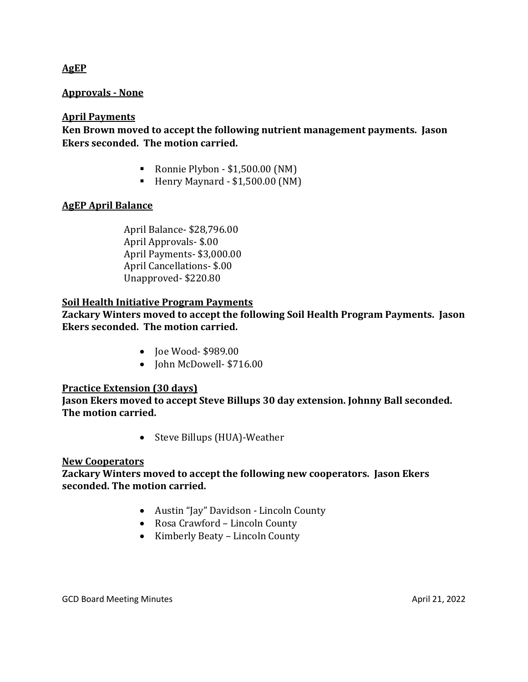# **AgEP**

# **Approvals - None**

### **April Payments**

**Ken Brown moved to accept the following nutrient management payments. Jason Ekers seconded. The motion carried.**

- $\blacksquare$  Ronnie Plybon \$1,500.00 (NM)
- $\blacksquare$  Henry Maynard \$1,500.00 (NM)

### **AgEP April Balance**

April Balance- \$28,796.00 April Approvals- \$.00 April Payments- \$3,000.00 April Cancellations- \$.00 Unapproved- \$220.80

### **Soil Health Initiative Program Payments**

**Zackary Winters moved to accept the following Soil Health Program Payments. Jason Ekers seconded. The motion carried.**

- **Joe Wood- \$989.00**
- John McDowell- \$716.00

### **Practice Extension (30 days)**

**Jason Ekers moved to accept Steve Billups 30 day extension. Johnny Ball seconded. The motion carried.**

• Steve Billups (HUA)-Weather

### **New Cooperators**

### **Zackary Winters moved to accept the following new cooperators. Jason Ekers seconded. The motion carried.**

- Austin "Jay" Davidson Lincoln County
- Rosa Crawford Lincoln County
- Kimberly Beaty Lincoln County